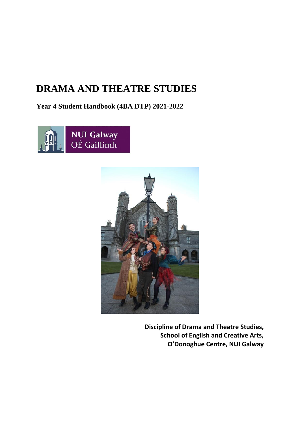# **DRAMA AND THEATRE STUDIES**

## **Year 4 Student Handbook (4BA DTP) 2021-2022**





**Discipline of Drama and Theatre Studies, School of English and Creative Arts, O'Donoghue Centre, NUI Galway**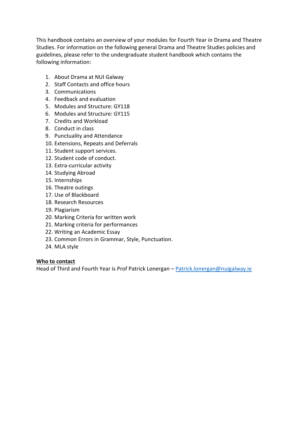This handbook contains an overview of your modules for Fourth Year in Drama and Theatre Studies. For information on the following general Drama and Theatre Studies policies and guidelines, please refer to the undergraduate student handbook which contains the following information:

- 1. About Drama at NUI Galway
- 2. Staff Contacts and office hours
- 3. Communications
- 4. Feedback and evaluation
- 5. Modules and Structure: GY118
- 6. Modules and Structure: GY115
- 7. Credits and Workload
- 8. Conduct in class
- 9. Punctuality and Attendance
- 10. Extensions, Repeats and Deferrals
- 11. Student support services.
- 12. Student code of conduct.
- 13. Extra-curricular activity
- 14. Studying Abroad
- 15. Internships
- 16. Theatre outings
- 17. Use of Blackboard
- 18. Research Resources
- 19. Plagiarism
- 20. Marking Criteria for written work
- 21. Marking criteria for performances
- 22. Writing an Academic Essay
- 23. Common Errors in Grammar, Style, Punctuation.
- 24. MLA style

### **Who to contact**

Head of Third and Fourth Year is Prof Patrick Lonergan – [Patrick.lonergan@nuigalway.ie](mailto:Patrick.lonergan@nuigalway.ie)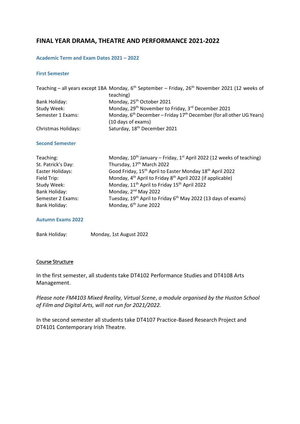### **FINAL YEAR DRAMA, THEATRE AND PERFORMANCE 2021-2022**

### **Academic Term and Exam Dates 2021 – 2022**

#### **First Semester**

|                     | Teaching - all years except 1BA Monday, 6 <sup>th</sup> September - Friday, 26 <sup>th</sup> November 2021 (12 weeks of |
|---------------------|-------------------------------------------------------------------------------------------------------------------------|
|                     | teaching)                                                                                                               |
| Bank Holiday:       | Monday, 25 <sup>th</sup> October 2021                                                                                   |
| Study Week:         | Monday, 29 <sup>th</sup> November to Friday, 3 <sup>rd</sup> December 2021                                              |
| Semester 1 Exams:   | Monday, $6^{th}$ December – Friday 17 <sup>th</sup> December (for all other UG Years)                                   |
|                     | (10 days of exams)                                                                                                      |
| Christmas Holidays: | Saturday, 18 <sup>th</sup> December 2021                                                                                |

#### **Second Semester**

| Teaching:          | Monday, $10^{th}$ January – Friday, $1^{st}$ April 2022 (12 weeks of teaching)        |
|--------------------|---------------------------------------------------------------------------------------|
| St. Patrick's Day: | Thursday, 17 <sup>th</sup> March 2022                                                 |
| Easter Holidays:   | Good Friday, 15 <sup>th</sup> April to Easter Monday 18 <sup>th</sup> April 2022      |
| Field Trip:        | Monday, 4 <sup>th</sup> April to Friday 8 <sup>th</sup> April 2022 (if applicable)    |
| Study Week:        | Monday, 11 <sup>th</sup> April to Friday 15 <sup>th</sup> April 2022                  |
| Bank Holiday:      | Monday, 2 <sup>nd</sup> May 2022                                                      |
| Semester 2 Exams:  | Tuesday, 19 <sup>th</sup> April to Friday 6 <sup>th</sup> May 2022 (13 days of exams) |
| Bank Holiday:      | Monday, 6 <sup>th</sup> June 2022                                                     |
|                    |                                                                                       |

#### **Autumn Exams 2022**

Bank Holiday: Monday, 1st August 2022

### Course Structure

In the first semester, all students take DT4102 Performance Studies and DT4108 Arts Management.

*Please note FM4103 Mixed Reality, Virtual Scene*, *a module organised by the Huston School of Film and Digital Arts, will not run for 2021/2022.*

In the second semester all students take DT4107 Practice-Based Research Project and DT4101 Contemporary Irish Theatre.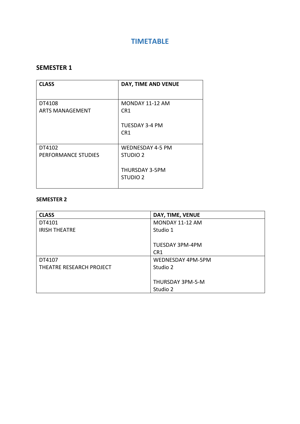### **TIMETABLE**

### **SEMESTER 1**

| <b>CLASS</b>        | DAY, TIME AND VENUE     |
|---------------------|-------------------------|
|                     |                         |
| DT4108              | MONDAY 11-12 AM         |
| ARTS MANAGEMENT     | CR <sub>1</sub>         |
|                     |                         |
|                     | <b>TUESDAY 3-4 PM</b>   |
|                     | CR1                     |
| DT4102              | <b>WEDNESDAY 4-5 PM</b> |
| PERFORMANCE STUDIES | <b>STUDIO 2</b>         |
|                     |                         |
|                     | <b>THURSDAY 3-5PM</b>   |
|                     | <b>STUDIO 2</b>         |
|                     |                         |

### **SEMESTER 2**

| <b>CLASS</b>             | DAY, TIME, VENUE  |
|--------------------------|-------------------|
| DT4101                   | MONDAY 11-12 AM   |
| <b>IRISH THEATRE</b>     | Studio 1          |
|                          |                   |
|                          | TUESDAY 3PM-4PM   |
|                          | CR1               |
| DT4107                   | WEDNESDAY 4PM-5PM |
| THEATRE RESEARCH PROJECT | Studio 2          |
|                          |                   |
|                          | THURSDAY 3PM-5-M  |
|                          | Studio 2          |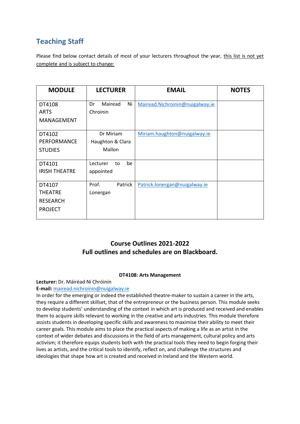# **Teaching Staff**

Please find below contact details of most of your lecturers throughout the year, this list is not yet complete and is subject to change:

| <b>MODULE</b>                              | <b>LECTURER</b>                 | <b>EMAIL</b>                    | <b>NOTES</b> |
|--------------------------------------------|---------------------------------|---------------------------------|--------------|
| DT4108<br><b>ARTS</b><br><b>MANAGEMENT</b> | Ni<br>Mairead<br>Dr<br>Chroinin | Mairead.Nichroinin@nuigalway.ie |              |
|                                            |                                 |                                 |              |
| DT4102                                     | Dr Miriam                       | Miriam.haughton@nuigalway.ie    |              |
| PERFORMANCE                                | Haughton & Clara                |                                 |              |
| <b>STUDIES</b>                             | Mallon                          |                                 |              |
| DT4101                                     | be<br>Lecturer<br>to            |                                 |              |
| <b>IRISH THEATRE</b>                       | appointed                       |                                 |              |
| DT4107                                     | Patrick<br>Prof.                | Patrick.lonergan@nuigalway.ie   |              |
| <b>THEATRE</b>                             | Lonergan                        |                                 |              |
| <b>RESEARCH</b>                            |                                 |                                 |              |
| <b>PROJECT</b>                             |                                 |                                 |              |

### **Course Outlines 2021-2022 Full outlines and schedules are on Blackboard.**

### **DT4108: Arts Management**

**Lecturer:** Dr. Máiréad Ní Chróinín

### **E-mail:** [mairead.nichroinin@nuigalway.ie](mailto:mairead.nichroinin@nuigalway.ie)

In order for the emerging or indeed the established theatre-maker to sustain a career in the arts, they require a different skillset, that of the entrepreneur or the business person. This module seeks to develop students' understanding of the context in which art is produced and received and enables them to acquire skills relevant to working in the creative and arts industries. This module therefore assists students in developing specific skills and awareness to maximise their ability to meet their career goals. This module aims to place the practical aspects of making a life as an artist in the context of wider debates and discussions in the field of arts management, cultural policy and arts activism; it therefore equips students both with the practical tools they need to begin forging their lives as artists, and the critical tools to identify, reflect on, and challenge the structures and ideologies that shape how art is created and received in Ireland and the Western world.